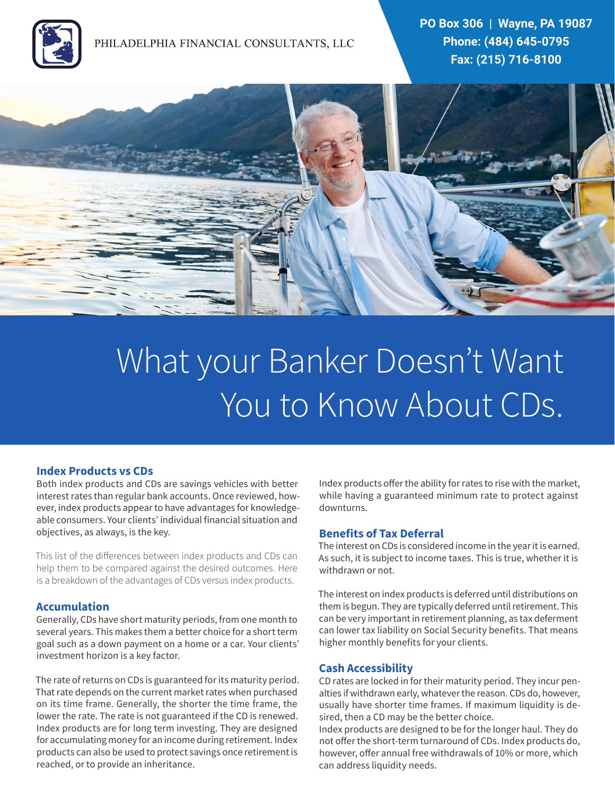

PHILADELPHIA FINANCIAL CONSULTANTS, LLC

**PO Box 306 | Wayne, PA 19087 Phone: (484) 645-0795 Fax: (215) 716-8100**



# What your Banker Doesn't Want You to Know About CDs.

#### **Index Products vs CDs**

Both index products and CDs are savings vehicles with better interest rates than regular bank accounts. Once reviewed, however, index products appear to have advantages for knowledgeable consumers. Your clients' individual financial situation and objectives, as always, is the key.

This list of the differences between index products and CDs can help them to be compared against the desired outcomes. Here is a breakdown of the advantages of CDs versus index products.

#### **Accumulation**

Generally, CDs have short maturity periods, from one month to several years. This makes them a better choice for a short term goal such as a down payment on a home or a car. Your clients' investment horizon is a key factor.

The rate of returns on CDs is guaranteed for its maturity period. That rate depends on the current market rates when purchased on its time frame. Generally, the shorter the time frame, the lower the rate. The rate is not guaranteed if the CD is renewed. Index products are for long term investing. They are designed for accumulating money for an income during retirement. Index products can also be used to protect savings once retirement is reached, or to provide an inheritance.

Index products offer the ability for rates to rise with the market, while having a guaranteed minimum rate to protect against downturns.

#### **Benefits of Tax Deferral**

The interest on CDs is considered income in the year it is earned. As such, it is subject to income taxes. This is true, whether it is withdrawn or not.

The interest on index products is deferred until distributions on them is begun. They are typically deferred until retirement. This can be very important in retirement planning, as tax deferment can lower tax liability on Social Security benefits. That means higher monthly benefits for your clients.

#### **Cash Accessibility**

CD rates are locked in for their maturity period. They incur penalties if withdrawn early, whatever the reason. CDs do, however, usually have shorter time frames. If maximum liquidity is desired, then a CD may be the better choice.

Index products are designed to be for the longer haul. They do not offer the short-term turnaround of CDs. Index products do, however, offer annual free withdrawals of 10% or more, which can address liquidity needs.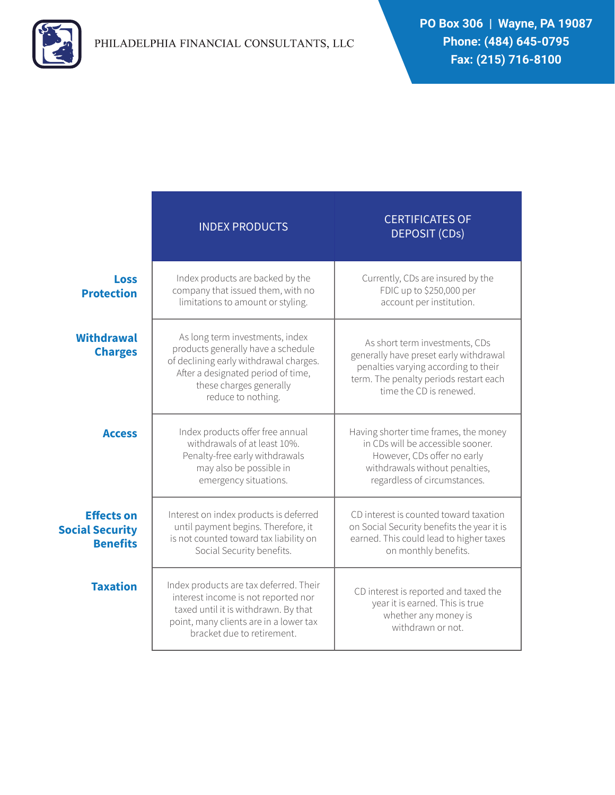

|                                                                | <b>INDEX PRODUCTS</b>                                                                                                                                                                                  | <b>CERTIFICATES OF</b><br><b>DEPOSIT (CDs)</b>                                                                                                                                        |
|----------------------------------------------------------------|--------------------------------------------------------------------------------------------------------------------------------------------------------------------------------------------------------|---------------------------------------------------------------------------------------------------------------------------------------------------------------------------------------|
| <b>Loss</b><br><b>Protection</b>                               | Index products are backed by the<br>company that issued them, with no<br>limitations to amount or styling.                                                                                             | Currently, CDs are insured by the<br>FDIC up to \$250,000 per<br>account per institution.                                                                                             |
| <b>Withdrawal</b><br><b>Charges</b>                            | As long term investments, index<br>products generally have a schedule<br>of declining early withdrawal charges.<br>After a designated period of time,<br>these charges generally<br>reduce to nothing. | As short term investments, CDs<br>generally have preset early withdrawal<br>penalties varying according to their<br>term. The penalty periods restart each<br>time the CD is renewed. |
| <b>Access</b>                                                  | Index products offer free annual<br>withdrawals of at least 10%.<br>Penalty-free early withdrawals<br>may also be possible in<br>emergency situations.                                                 | Having shorter time frames, the money<br>in CDs will be accessible sooner.<br>However, CDs offer no early<br>withdrawals without penalties,<br>regardless of circumstances.           |
| <b>Effects on</b><br><b>Social Security</b><br><b>Benefits</b> | Interest on index products is deferred<br>until payment begins. Therefore, it<br>is not counted toward tax liability on<br>Social Security benefits.                                                   | CD interest is counted toward taxation<br>on Social Security benefits the year it is<br>earned. This could lead to higher taxes<br>on monthly benefits.                               |
| <b>Taxation</b>                                                | Index products are tax deferred. Their<br>interest income is not reported nor<br>taxed until it is withdrawn. By that<br>point, many clients are in a lower tax<br>bracket due to retirement.          | CD interest is reported and taxed the<br>year it is earned. This is true<br>whether any money is<br>withdrawn or not.                                                                 |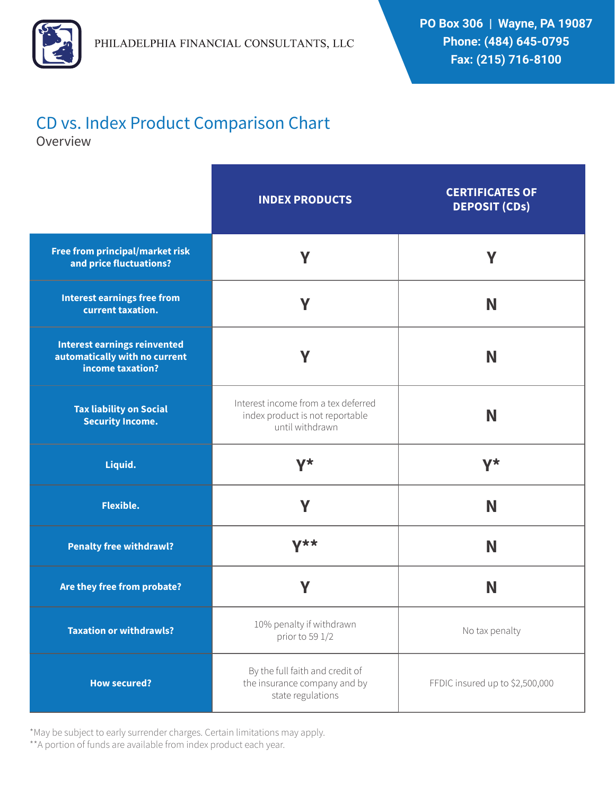

## CD vs. Index Product Comparison Chart

Overview

|                                                                                          | <b>INDEX PRODUCTS</b>                                                                     | <b>CERTIFICATES OF</b><br><b>DEPOSIT (CDs)</b> |
|------------------------------------------------------------------------------------------|-------------------------------------------------------------------------------------------|------------------------------------------------|
| Free from principal/market risk<br>and price fluctuations?                               | Y                                                                                         | Υ                                              |
| <b>Interest earnings free from</b><br>current taxation.                                  | Y                                                                                         | N                                              |
| <b>Interest earnings reinvented</b><br>automatically with no current<br>income taxation? | V                                                                                         | N                                              |
| <b>Tax liability on Social</b><br><b>Security Income.</b>                                | Interest income from a tex deferred<br>index product is not reportable<br>until withdrawn | N                                              |
| Liquid.                                                                                  | $V^{\star}$                                                                               | $\mathbf{Y}^{\star}$                           |
| <b>Flexible.</b>                                                                         | Y                                                                                         | N                                              |
| <b>Penalty free withdrawl?</b>                                                           | $\mathbf{V}^{\star\star}$                                                                 | N                                              |
| Are they free from probate?                                                              | Y                                                                                         | N                                              |
| <b>Taxation or withdrawls?</b>                                                           | 10% penalty if withdrawn<br>prior to 59 1/2                                               | No tax penalty                                 |
| <b>How secured?</b>                                                                      | By the full faith and credit of<br>the insurance company and by<br>state regulations      | FFDIC insured up to \$2,500,000                |

\*May be subject to early surrender charges. Certain limitations may apply.

\*\*A portion of funds are available from index product each year.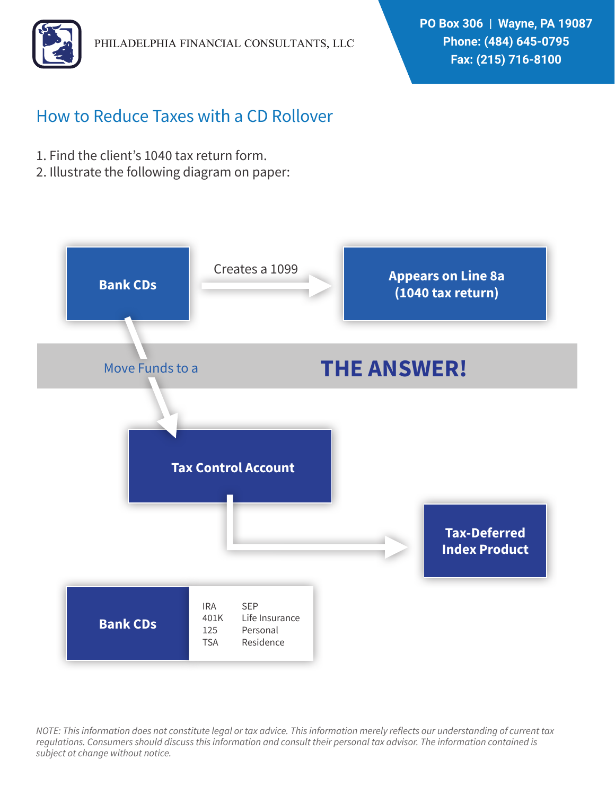

## How to Reduce Taxes with a CD Rollover

- 1. Find the client's 1040 tax return form.
- 2. Illustrate the following diagram on paper:



*NOTE: This information does not constitute legal or tax advice. This information merely reflects our understanding of current tax regulations. Consumers should discuss this information and consult their personal tax advisor. The information contained is subject ot change without notice.*